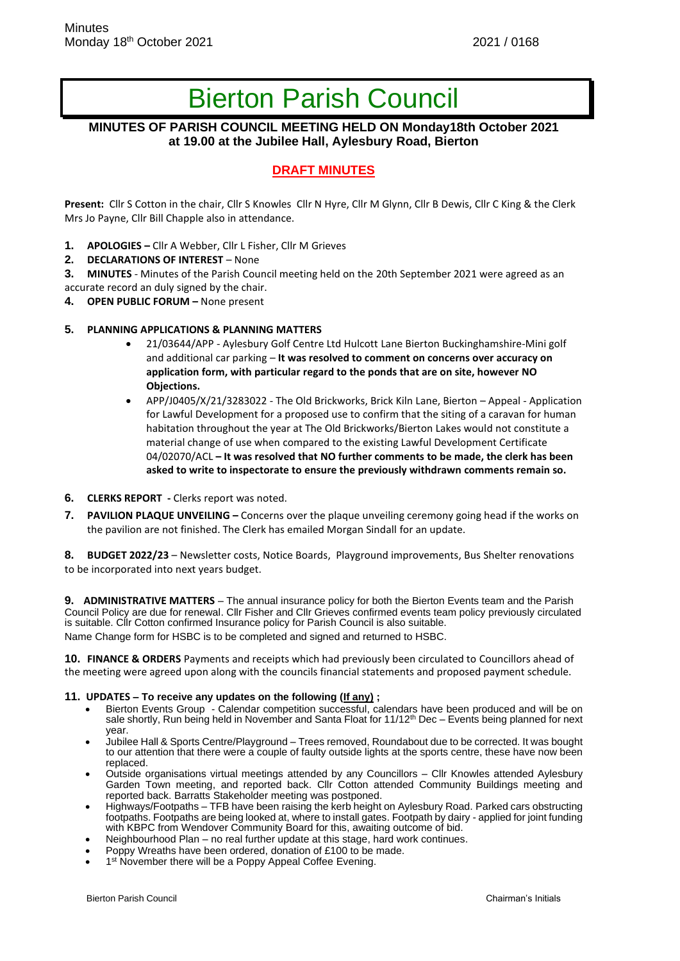# Bierton Parish Council

## **MINUTES OF PARISH COUNCIL MEETING HELD ON Monday18th October 2021 at 19.00 at the Jubilee Hall, Aylesbury Road, Bierton**

## **DRAFT MINUTES**

**Present:** Cllr S Cotton in the chair, Cllr S Knowles Cllr N Hyre, Cllr M Glynn, Cllr B Dewis, Cllr C King & the Clerk Mrs Jo Payne, Cllr Bill Chapple also in attendance.

- **1. APOLOGIES –** Cllr A Webber, Cllr L Fisher, Cllr M Grieves
- **2. DECLARATIONS OF INTEREST**  None

**3. MINUTES** - Minutes of the Parish Council meeting held on the 20th September 2021 were agreed as an accurate record an duly signed by the chair.

**4. OPEN PUBLIC FORUM –** None present

#### **5. PLANNING APPLICATIONS & PLANNING MATTERS**

- 21/03644/APP Aylesbury Golf Centre Ltd Hulcott Lane Bierton Buckinghamshire-Mini golf and additional car parking – **It was resolved to comment on concerns over accuracy on application form, with particular regard to the ponds that are on site, however NO Objections.**
- APP/J0405/X/21/3283022 The Old Brickworks, Brick Kiln Lane, Bierton Appeal Application for Lawful Development for a proposed use to confirm that the siting of a caravan for human habitation throughout the year at The Old Brickworks/Bierton Lakes would not constitute a material change of use when compared to the existing Lawful Development Certificate 04/02070/ACL **– It was resolved that NO further comments to be made, the clerk has been asked to write to inspectorate to ensure the previously withdrawn comments remain so.**
- **6. CLERKS REPORT -** Clerks report was noted.
- **7. PAVILION PLAQUE UNVEILING –** Concerns over the plaque unveiling ceremony going head if the works on the pavilion are not finished. The Clerk has emailed Morgan Sindall for an update.

**8. BUDGET 2022/23** – Newsletter costs, Notice Boards, Playground improvements, Bus Shelter renovations to be incorporated into next years budget.

**9. ADMINISTRATIVE MATTERS** – The annual insurance policy for both the Bierton Events team and the Parish Council Policy are due for renewal. Cllr Fisher and Cllr Grieves confirmed events team policy previously circulated is suitable. Cllr Cotton confirmed Insurance policy for Parish Council is also suitable. Name Change form for HSBC is to be completed and signed and returned to HSBC.

**10. FINANCE & ORDERS** Payments and receipts which had previously been circulated to Councillors ahead of the meeting were agreed upon along with the councils financial statements and proposed payment schedule.

#### **11. UPDATES – To receive any updates on the following (If any) ;**

- Bierton Events Group Calendar competition successful, calendars have been produced and will be on sale shortly, Run being held in November and Santa Float for 11/12<sup>th</sup> Dec – Events being planned for next year.
- Jubilee Hall & Sports Centre/Playground Trees removed, Roundabout due to be corrected. It was bought to our attention that there were a couple of faulty outside lights at the sports centre, these have now been replaced.
- Outside organisations virtual meetings attended by any Councillors Cllr Knowles attended Aylesbury Garden Town meeting, and reported back. Cllr Cotton attended Community Buildings meeting and reported back. Barratts Stakeholder meeting was postponed.
- Highways/Footpaths TFB have been raising the kerb height on Aylesbury Road. Parked cars obstructing footpaths. Footpaths are being looked at, where to install gates. Footpath by dairy - applied for joint funding with KBPC from Wendover Community Board for this, awaiting outcome of bid.
- Neighbourhood Plan no real further update at this stage, hard work continues.
- Poppy Wreaths have been ordered, donation of £100 to be made.
- 1<sup>st</sup> November there will be a Poppy Appeal Coffee Evening.